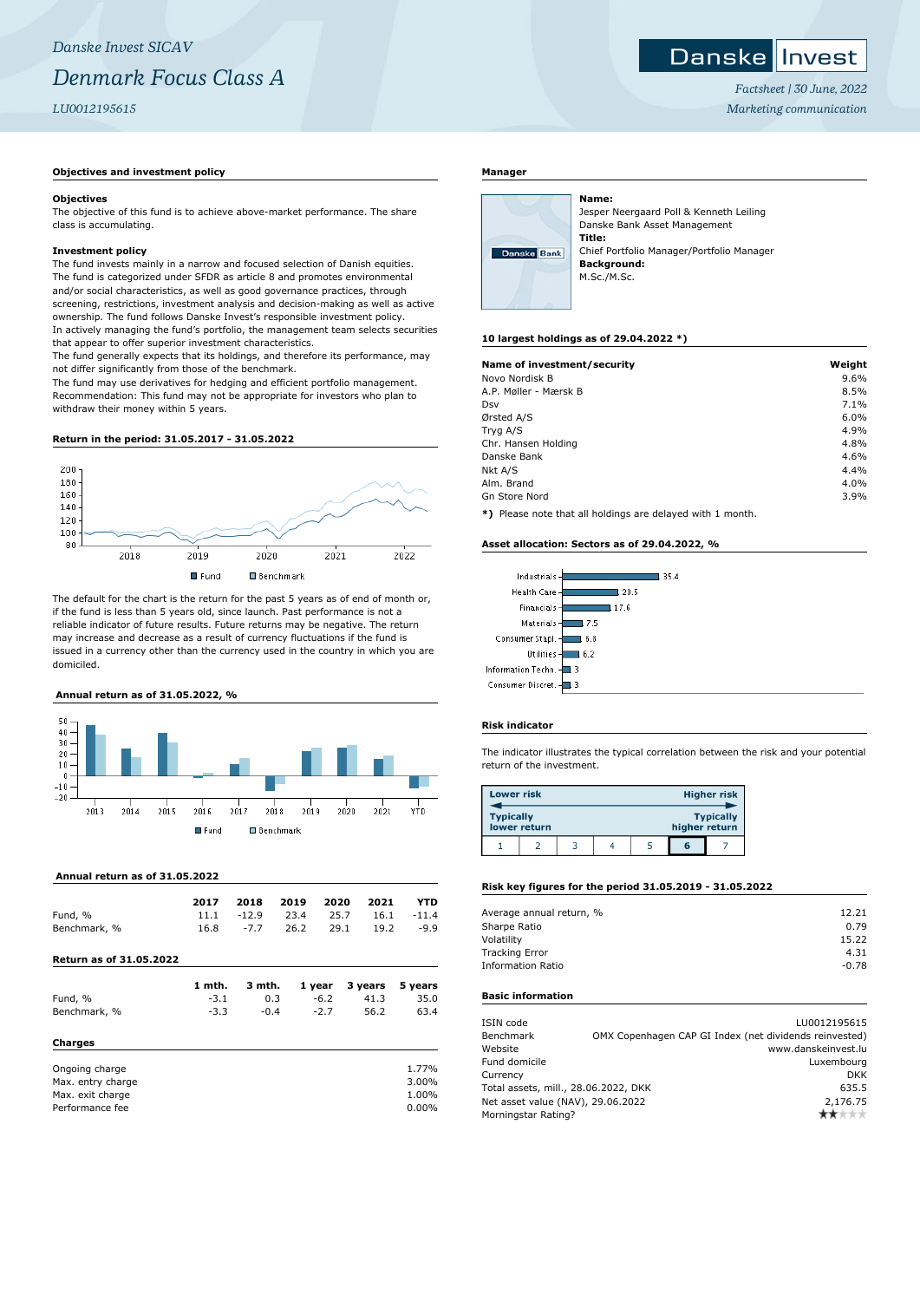# *Danske Invest SICAV Denmark Focus Class A LU0012195615*

# **Objectives and investment policy**

#### **Objectives**

The objective of this fund is to achieve above-market performance. The share class is accumulating.

#### **Investment policy**

The fund invests mainly in a narrow and focused selection of Danish equities. The fund is categorized under SFDR as article 8 and promotes environmental and/or social characteristics, as well as good governance practices, through screening, restrictions, investment analysis and decision-making as well as active ownership. The fund follows Danske Invest's responsible investment policy. In actively managing the fund's portfolio, the management team selects securities that appear to offer superior investment characteristics.

The fund generally expects that its holdings, and therefore its performance, may not differ significantly from those of the benchmark.

The fund may use derivatives for hedging and efficient portfolio management. Recommendation: This fund may not be appropriate for investors who plan to withdraw their money within 5 years.

#### **Return in the period: 31.05.2017 - 31.05.2022**



The default for the chart is the return for the past 5 years as of end of month or, if the fund is less than 5 years old, since launch. Past performance is not a reliable indicator of future results. Future returns may be negative. The return may increase and decrease as a result of currency fluctuations if the fund is issued in a currency other than the currency used in the country in which you are domiciled.

# **Annual return as of 31.05.2022, %**



#### **Annual return as of 31.05.2022**

|              | 2017 | 2018   | 2019 2020                       |      | 2021 | YTD        |
|--------------|------|--------|---------------------------------|------|------|------------|
| Fund, %      |      |        | $11.1 \t -12.9 \t 23.4 \t 25.7$ |      |      | 16.1 -11.4 |
| Benchmark, % | 16.8 | $-7.7$ | 26.2                            | 29.1 | 19.2 | -9.9       |

**Return as of 31.05.2022**

| Fund, %                             | 1 mth.<br>$-3.1$ | 3 mth.<br>0.3 | 1 year<br>$-6.2$ | 3 years<br>41.3 | 5 years<br>35.0 |
|-------------------------------------|------------------|---------------|------------------|-----------------|-----------------|
| Benchmark, %                        | $-3.3$           | $-0.4$        | $-2.7$           | 56.2            | 63.4            |
| Charges                             |                  |               |                  |                 |                 |
| Ongoing charge<br>Max. entry charge |                  |               |                  |                 | 1.77%<br>3.00%  |
| Max. exit charge<br>Performance fee |                  |               |                  |                 | 1.00%           |
|                                     |                  |               |                  |                 | 0.00%           |

#### **Manager**



Jesper Neergaard Poll & Kenneth Leiling Danske Bank Asset Management **Title:** Chief Portfolio Manager/Portfolio Manager **Background:** M.Sc./M.Sc.

#### **10 largest holdings as of 29.04.2022 \*)**

**Name:**

| Name of investment/security | Weight |
|-----------------------------|--------|
| Novo Nordisk B              | 9.6%   |
| A.P. Møller - Mærsk B       | 8.5%   |
| Dsv                         | 7.1%   |
| Ørsted A/S                  | 6.0%   |
| Tryg A/S                    | 4.9%   |
| Chr. Hansen Holding         | 4.8%   |
| Danske Bank                 | 4.6%   |
| Nkt A/S                     | 4.4%   |
| Alm. Brand                  | 4.0%   |
| <b>Gn Store Nord</b>        | 3.9%   |

**\*)** Please note that all holdings are delayed with 1 month.

#### **Asset allocation: Sectors as of 29.04.2022, %**

| Industrials -        | 35.4 |
|----------------------|------|
| Health Care -        | 20.5 |
| Financials           | .7.6 |
| Materials -          | 7.5  |
| Consumer Stapl.      | 6.8  |
| <b>Utilities</b>     | 6.2  |
| Information Techn. - |      |
| Consumer Discret.    |      |

#### **Risk indicator**

The indicator illustrates the typical correlation between the risk and your potential return of the investment.

| <b>Lower risk</b> |              |  |  |               | <b>Higher risk</b> |
|-------------------|--------------|--|--|---------------|--------------------|
| <b>Typically</b>  | lower return |  |  | higher return | <b>Typically</b>   |
|                   |              |  |  | 6             |                    |

# **Risk key figures for the period 31.05.2019 - 31.05.2022**

| Average annual return, % | 12.21   |
|--------------------------|---------|
| Sharpe Ratio             | 0.79    |
| Volatility               | 15.22   |
| <b>Tracking Error</b>    | 4.31    |
| <b>Information Ratio</b> | $-0.78$ |
|                          |         |

## **Basic information**

| ISIN code<br>Benchmark               |  | LU0012195615<br>OMX Copenhagen CAP GI Index (net dividends reinvested) |
|--------------------------------------|--|------------------------------------------------------------------------|
|                                      |  |                                                                        |
| Website                              |  | www.danskeinvest.lu                                                    |
| Fund domicile                        |  | Luxembourg                                                             |
| Currency                             |  | <b>DKK</b>                                                             |
| Total assets, mill., 28.06.2022, DKK |  | 635.5                                                                  |
| Net asset value (NAV), 29.06.2022    |  | 2.176.75                                                               |
| Morningstar Rating?                  |  | ┢╈╬╬╬                                                                  |
|                                      |  |                                                                        |

*Factsheet | 30 June, 2022 Marketing communication*